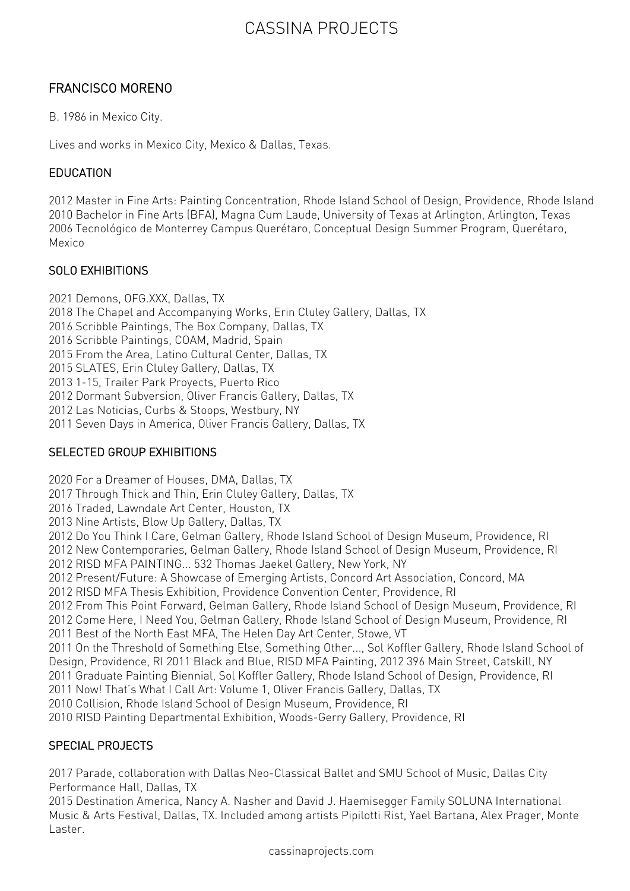# CASSINA PROJECTS

### FRANCISCO MORENO

B. 1986 in Mexico City.

Lives and works in Mexico City, Mexico & Dallas, Texas.

#### EDUCATION

2012 Master in Fine Arts: Painting Concentration, Rhode Island School of Design, Providence, Rhode Island 2010 Bachelor in Fine Arts (BFA), Magna Cum Laude, University of Texas at Arlington, Arlington, Texas 2006 Tecnológico de Monterrey Campus Querétaro, Conceptual Design Summer Program, Querétaro, Mexico

#### SOLO EXHIBITIONS

2021 Demons, OFG.XXX, Dallas, TX 2018 The Chapel and Accompanying Works, Erin Cluley Gallery, Dallas, TX 2016 Scribble Paintings, The Box Company, Dallas, TX 2016 Scribble Paintings, COAM, Madrid, Spain 2015 From the Area, Latino Cultural Center, Dallas, TX 2015 SLATES, Erin Cluley Gallery, Dallas, TX 2013 1-15, Trailer Park Proyects, Puerto Rico 2012 Dormant Subversion, Oliver Francis Gallery, Dallas, TX 2012 Las Noticias, Curbs & Stoops, Westbury, NY 2011 Seven Days in America, Oliver Francis Gallery, Dallas, TX

#### SELECTED GROUP EXHIBITIONS

2020 For a Dreamer of Houses, DMA, Dallas, TX 2017 Through Thick and Thin, Erin Cluley Gallery, Dallas, TX 2016 Traded, Lawndale Art Center, Houston, TX 2013 Nine Artists, Blow Up Gallery, Dallas, TX 2012 Do You Think I Care, Gelman Gallery, Rhode Island School of Design Museum, Providence, RI 2012 New Contemporaries, Gelman Gallery, Rhode Island School of Design Museum, Providence, RI 2012 RISD MFA PAINTING... 532 Thomas Jaekel Gallery, New York, NY 2012 Present/Future: A Showcase of Emerging Artists, Concord Art Association, Concord, MA 2012 RISD MFA Thesis Exhibition, Providence Convention Center, Providence, RI 2012 From This Point Forward, Gelman Gallery, Rhode Island School of Design Museum, Providence, RI 2012 Come Here, I Need You, Gelman Gallery, Rhode Island School of Design Museum, Providence, RI 2011 Best of the North East MFA, The Helen Day Art Center, Stowe, VT 2011 On the Threshold of Something Else, Something Other..., Sol Koffler Gallery, Rhode Island School of Design, Providence, RI 2011 Black and Blue, RISD MFA Painting, 2012 396 Main Street, Catskill, NY 2011 Graduate Painting Biennial, Sol Koffler Gallery, Rhode Island School of Design, Providence, RI 2011 Now! That's What I Call Art: Volume 1, Oliver Francis Gallery, Dallas, TX 2010 Collision, Rhode Island School of Design Museum, Providence, RI 2010 RISD Painting Departmental Exhibition, Woods-Gerry Gallery, Providence, RI

### SPECIAL PROJECTS

2017 Parade, collaboration with Dallas Neo-Classical Ballet and SMU School of Music, Dallas City Performance Hall, Dallas, TX

2015 Destination America, Nancy A. Nasher and David J. Haemisegger Family SOLUNA International Music & Arts Festival, Dallas, TX. Included among artists Pipilotti Rist, Yael Bartana, Alex Prager, Monte Laster.